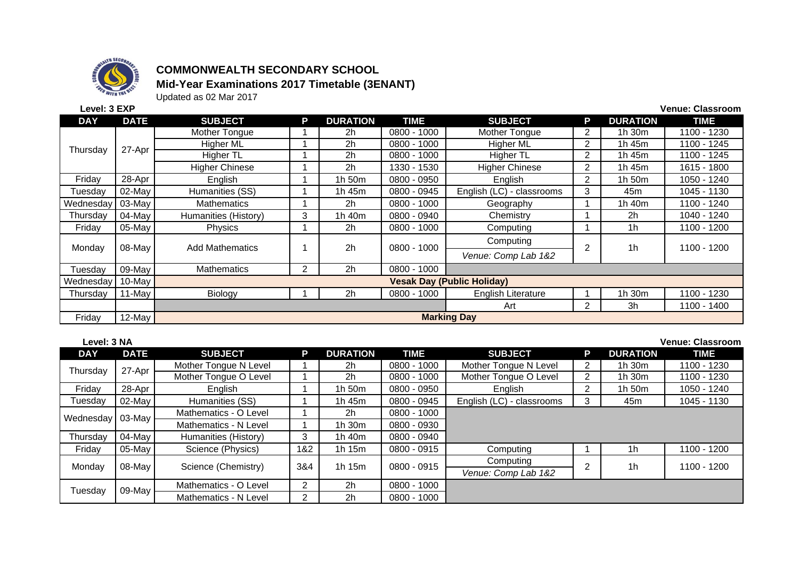

## **COMMONWEALTH SECONDARY SCHOOL Mid-Year Examinations 2017 Timetable (3ENANT)**

Updated as 02 Mar 2017

| Level: 3 EXP<br><b>Venue: Classroom</b> |             |                                            |                |                 |               |                           |                |                 |             |  |
|-----------------------------------------|-------------|--------------------------------------------|----------------|-----------------|---------------|---------------------------|----------------|-----------------|-------------|--|
| <b>DAY</b>                              | <b>DATE</b> | <b>SUBJECT</b>                             | P              | <b>DURATION</b> | <b>TIME</b>   | <b>SUBJECT</b>            | D              | <b>DURATION</b> | <b>TIME</b> |  |
| Thursday                                | 27-Apr      | Mother Tongue                              |                | 2h              | $0800 - 1000$ | Mother Tongue             | $\overline{2}$ | 1h 30m          | 1100 - 1230 |  |
|                                         |             | <b>Higher ML</b>                           |                | 2 <sub>h</sub>  | 0800 - 1000   | <b>Higher ML</b>          | $\overline{2}$ | 1h 45m          | 1100 - 1245 |  |
|                                         |             | Higher TL                                  |                | 2h              | 0800 - 1000   | <b>Higher TL</b>          | $\overline{2}$ | 1h 45m          | 1100 - 1245 |  |
|                                         |             | <b>Higher Chinese</b>                      |                | 2h              | 1330 - 1530   | <b>Higher Chinese</b>     | $\overline{2}$ | 1h 45m          | 1615 - 1800 |  |
| Friday                                  | 28-Apr      | English                                    |                | 1h 50m          | 0800 - 0950   | English                   | $\overline{2}$ | 1h 50m          | 1050 - 1240 |  |
| Tuesdav                                 | 02-May      | Humanities (SS)                            |                | 1h 45m          | 0800 - 0945   | English (LC) - classrooms | 3              | 45 <sub>m</sub> | 1045 - 1130 |  |
| Wednesday                               | 03-May      | <b>Mathematics</b>                         |                | 2h              | 0800 - 1000   | Geography                 |                | 1h 40m          | 1100 - 1240 |  |
| Thursdav                                | $04$ -May   | Humanities (History)                       | 3              | 1h 40m          | 0800 - 0940   | Chemistry                 |                | 2 <sub>h</sub>  | 1040 - 1240 |  |
| Friday                                  | 05-May      | Physics                                    |                | 2 <sub>h</sub>  | 0800 - 1000   | Computing                 |                | 1h              | 1100 - 1200 |  |
|                                         | 08-May      | <b>Add Mathematics</b>                     |                | 2h              | $0800 - 1000$ | Computing                 | 2              | 1 <sub>h</sub>  | 1100 - 1200 |  |
| Monday                                  |             |                                            |                |                 |               | Venue: Comp Lab 1&2       |                |                 |             |  |
| Tuesdav                                 | $09$ -May   | Mathematics                                | $\overline{2}$ | 2h              | $0800 - 1000$ |                           |                |                 |             |  |
| Wednesday                               | 10-May      | <b>Vesak Day (Public Holiday)</b>          |                |                 |               |                           |                |                 |             |  |
| Thursdav                                | 11-May      | Biology                                    |                | 2h              | 0800 - 1000   | English Literature        |                | 1h 30m          | 1100 - 1230 |  |
|                                         |             | 3h<br>$\overline{2}$<br>Art<br>1100 - 1400 |                |                 |               |                           |                |                 |             |  |
| Friday                                  | 12-May      | <b>Marking Day</b>                         |                |                 |               |                           |                |                 |             |  |

| Level: 3 NA |             |                       |                |                 |               |                           |   |                 | <b>Venue: Classroom</b> |
|-------------|-------------|-----------------------|----------------|-----------------|---------------|---------------------------|---|-----------------|-------------------------|
| <b>DAY</b>  | <b>DATE</b> | <b>SUBJECT</b>        | P              | <b>DURATION</b> | <b>TIME</b>   | <b>SUBJECT</b>            | P | <b>DURATION</b> | <b>TIME</b>             |
| Thursday    | 27-Apr      | Mother Tongue N Level |                | 2h              | 0800 - 1000   | Mother Tongue N Level     | 2 | 1 $h$ 30 $m$    | 1100 - 1230             |
|             |             | Mother Tongue O Level |                | 2h              | 0800 - 1000   | Mother Tongue O Level     | 2 | 1h 30m          | 1100 - 1230             |
| Friday      | 28-Apr      | English               |                | 1h 50m          | 0800 - 0950   | English                   | 2 | 1h 50m          | 1050 - 1240             |
| Tuesday     | 02-May      | Humanities (SS)       |                | 1h 45m          | 0800 - 0945   | English (LC) - classrooms | 3 | 45m             | 1045 - 1130             |
| Wednesday   | 03-May      | Mathematics - O Level |                | 2h              | 0800 - 1000   |                           |   |                 |                         |
|             |             | Mathematics - N Level |                | 1 $h$ 30 $m$    | 0800 - 0930   |                           |   |                 |                         |
| Thursdav    | 04-May      | Humanities (History)  | 3              | 1h 40m          | 0800 - 0940   |                           |   |                 |                         |
| Friday      | 05-May      | Science (Physics)     | 1&2            | 1h 15m          | $0800 - 0915$ | Computing                 |   | 1h              | 1100 - 1200             |
| Monday      | 08-May      | Science (Chemistry)   | 3&4            | 1h 15m          | 0800 - 0915   | Computing                 | 2 | 1 <sub>h</sub>  | 1100 - 1200             |
|             |             |                       |                |                 |               | Venue: Comp Lab 1&2       |   |                 |                         |
| Tuesday     | 09-May      | Mathematics - O Level | $\overline{2}$ | 2 <sub>h</sub>  | 0800 - 1000   |                           |   |                 |                         |
|             |             | Mathematics - N Level | 2              | 2h              | $0800 - 1000$ |                           |   |                 |                         |